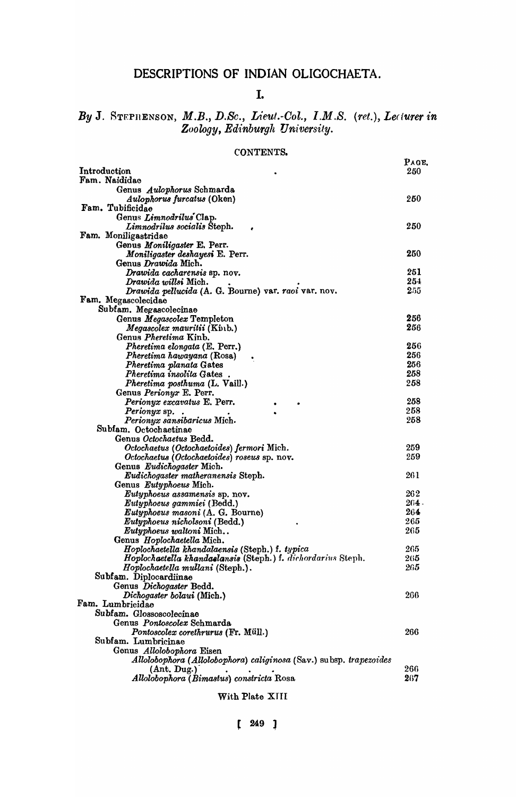# DESCRIPTIONS OF INDIAN OLIGOCHAETA.

### I.

# *By* J. STEPHENSON, *M.B., D.Se., Lieut.-Ool., I.M.S. (ret.), Le(iurer in*   $Z$ oology, Edinburgh University.

### CONTENTS.

|                                                                    | PAGE. |
|--------------------------------------------------------------------|-------|
| Introduction                                                       | 250   |
| Fam. Naididae                                                      |       |
| Genus Aulophorus Schmarda                                          |       |
| <i>Aulophorus furcatus</i> (Oken)                                  | 250   |
| Fam. Tubificidae                                                   |       |
| Genus Limnodrilus Clap.                                            | 250   |
| Limnodrilus socialis Steph.<br>Fam. Moniligastridae                |       |
| Genus Moniligaster E. Perr.                                        |       |
| Moniligaster deshayesi E. Perr.                                    | 250   |
| Genus Drawida Mich.                                                |       |
| Drawida cacharensis sp. nov.                                       | 251   |
| Drawida willsi Mich.                                               | 254   |
| Drawida pellucida (A. G. Bourne) var. raoi var. nov.               | 255   |
| Fam. Megascolecidae                                                |       |
| Subfam. Megascolecinae                                             |       |
| Genus Megascolex Templeton                                         | 256   |
| <i>Megascolex mauritii</i> (Kinb.)                                 | 256   |
| Genus <i>Pheretima</i> Kinb.                                       |       |
| Pheretima elongata (E. Perr.)                                      | 256   |
| Pheretima hawayana (Rosa)                                          | 256   |
| Pheretima planata Gates                                            | 256   |
| Pheretima insolita Gates.                                          | 258   |
| Pheretima posthuma (L. Vaill.)                                     | 258   |
| Genus Perionyx E. Perr.                                            |       |
| Perionyx excavatus E. Perr.                                        | 258   |
| <i>Perionyx</i> sp.                                                | 258   |
| Perionyx sansibaricus Mich.                                        | 258   |
| Subfam. Octochaetinae                                              |       |
| Genus Octochaetus Bedd.                                            |       |
| Octochaetus (Octochaetoides) fermori Mich.                         | 259   |
| Octochaetus (Octochaetoides) roseus sp. nov.                       | 259   |
| Genus Eudichogaster Mich.                                          |       |
| Eudichogaster matheranensis Steph.                                 | 261   |
| Genus Eutyphoeus Mich.                                             |       |
| Eutyphoeus assamensis sp. nov.                                     | 262   |
| Eutyphoeus gammiei (Bedd.)                                         | 264 - |
| Eutyphoeus masoni (A. G. Bourne)                                   | 264   |
| Eutyphoeus nicholsoni (Bedd.)                                      | 265   |
| Eutyphoeus waltoni Mich                                            | 265   |
| Genus Hoplochaetella Mich.                                         |       |
| Hoplochaetella khandalaensis (Steph.) f. typica                    | 265   |
| Hoplochaetella khandaelansis (Steph.) f. dichordarius Steph.       | 265   |
| Hoplochaetella mullani (Steph.).                                   | 265   |
| Subfam. Diplocardiinae                                             |       |
| Genus Dichogaster Bedd.                                            |       |
| Dichogaster bolaui (Mich.)                                         | 266   |
| Fam. Lumbricidae                                                   |       |
| Subfam. Glossoscolecinae                                           |       |
| Genus Pontoscolex Schmarda                                         |       |
| Pontoscolex corethrurus (Fr. Müll.)                                | 266   |
| Subfam. Lumbricinae                                                |       |
| Genus Allolobophora Eisen                                          |       |
| Allolobophora (Allolobophora) caliginosa (Sav.) subsp. trapezoides |       |
| (Ant. Dug.)                                                        | 266   |
| Allolobophora (Bimastus) constricta Rosa                           | 267   |
|                                                                    |       |

With Plate XIII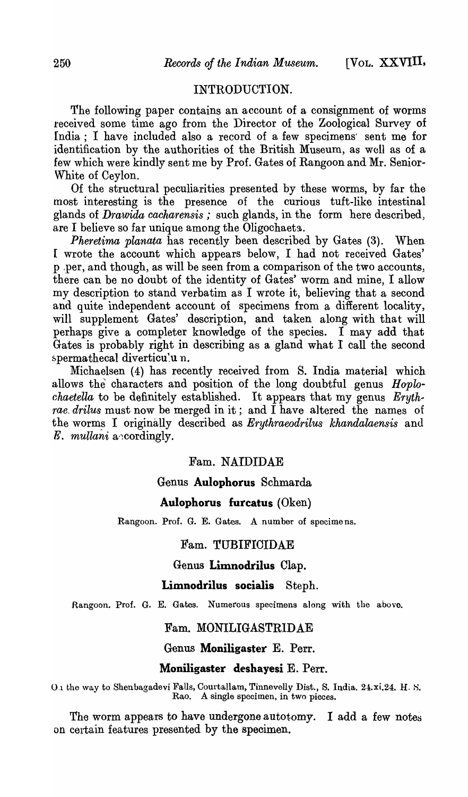# INTRODUCTION.

The following paper contains an account of a consignment of worms received some time ago from the Director of the Zoological Survey of India; I have included also a record of a few specimens' sent me for identification by the authorities of the British Museum, as well as of a few which were kindly sent me by Prof. Gates of Rangoon and Mr. Senior-White of Ceylon.

Of the structural peculiarities presented by these worms, by far the most interesting is the presence of the curious tuft-like intestinal glands of *Drawida cacharensis* ; such glands, in the form here described, are I believe so far unique among the Oligochaeta.

*Pheretima planata* has recently been described by Gates (3). When I wrote the account which appears below, I had not received Gates' p ,per, and though, as will be seen from a comparison of the two accounts: there can be no doubt of the identity of Gates' worm and mine, I allow my description to stand verbatim as I wrote it, believing that a second and quite independent account of specimens from a different locality, will supplement Gates' description, and taken along with that will perhaps give a completer knowledge of the species. I may add that Gates is probably right in describing as a gland what I call the second spermathecal diverticu'u n.

Michaelsen (4) has recently received from S. India material which allows the characters and position of the long doubtful genus *Hoplochaetella* to be definitely established. It appears that my genus  $Eryth$ . *rae, drilus* must now be merged in it; and  $\tilde{I}$  have altered the names of the worm~ I originaJly described as *Erythraeodrilus khandalaensis* anu *E. mullani* accordingly.

# Fam. NAIDIDAE

### Genus **Aulophorus** Schmarda

### **Aulophorus futcatus** (Oken)

Rangoon. Prof. G. E. Gates. A number of specimens.

#### Fam. TUBIFIOIDAE

# Genus **Limnodrilus** Clap.

#### **Limnodrilus socialis** Steph.

Rangoon. Prof. G. E. Gates. Numerous specimens along with the above.

#### Fam. MONILIGASTRIDAE

### Genus Moniligaster E. Perr.

### **Moniligaster deshayesi E.** Perr.

0.1 the way to Shenbagadevi Falls, Courtallam, Tinnevelly Dist., S. India. 24.xi.24. H. S. Rao. A single specimen, in two pieces.

The worm appears to have undergone autotomy. I add a few notes on certain features presented by the specimen.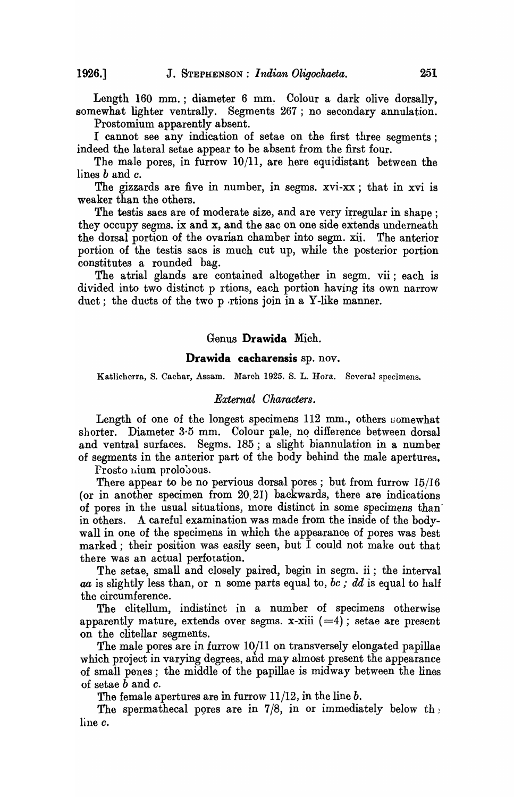Length 160 mm.; diameter 6 mm. Colour a dark olive dorsally, somewhat lighter ventrally. Segments 267 ; no secondary annulation.

Prostomium apparently absent.

I cannot see any indication of setae on the first three segments; indeed the lateral setae appear to be absent from the first four.

The male pores, in furrow 10/11, are here equidistant between the lines band *o.* 

The gizzards are five in number, in segms. xvi-xx; that in xvi is weaker than the others.

The testis sacs are of moderate size, and are very irregular in shape; they occupy segms. ix and x, and the sac on one side extends underneath the dorsal portion of the ovarian chamber into segm. xii. The anterior portion of the testis sacs is much cut up, while the posterior portion constitutes a rounded bag.

The atrial glands are contained altogether in segm. vii; each is divided into two distinct p rtions, each portion having its own narrow duct; the ducts of the two p rtions join in a Y-like manner.

#### Genus **Drawida** Mich.

#### **Drawida cacharensis** sp. nov.

Katlicherra, S. Cachar, Assam. March 1925. S. L. Rora. Several specimens.

#### *External Oharacters.*

Length of one of the longest specimens  $112 \text{ mm}$ , others somewhat shorter. Diameter 3.5 mm. Colour pale, no difference between dorsal and ventral surfaces. Segms. 185; a slight biannulation in a number of segments in the anterior part of the body behind the male apertures.

Frosto nium prolobous.

There appear to be no pervious dorsal pores; but from furrow  $15/16$ (or in another specimen from 20,21) backwards, there are indications of pores in the usual situations, more distinct in some specimens than' in others. A careful examination was made from the inside of the bodywall in one of the specimens in which the appearance of pores was best marked; their position was easily seen, but I could not make out that there was an actual perfotation.

The setae, small and closely paired, begin in segm. ii; the interval *aa* is slightly less than, or n some parts equal to, *be; dd* is equal to half the circumference.

The clitellum, indistinct in a number of specimens otherwise apparently mature, extends over segms. x-xiii  $(=4)$ ; setae are present on the clitellar segments.

The male pores are in furrow 10/11 on transversely elongated papillae which project in varying degrees, and may almost present the appearance of small penes; the middle of the papillae is midway between the lines of setae band *o.* 

The female apertures are in furrow 11/12, in the line *b.* 

The spermathecal pores are in 7/8, in or immediately below the line e.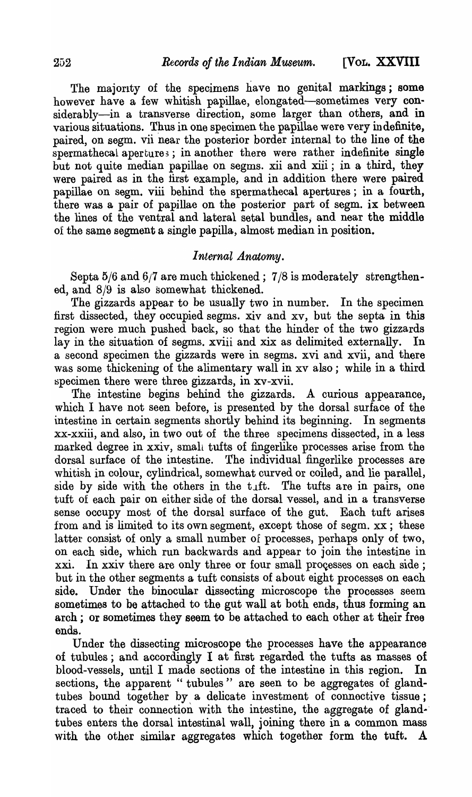The majority of the specimens have no genital markings; some however have a few whitish papillae, elongated-sometimes very considerably-in a transverse direction, some larger than others, and in various situations. Thus in one specimen the papillae were very indefinite, paired, on segm. vii near the posterior border internal to the line of the spermathecal apertures; in another there were rather indefinite single but not quite median papillae on segms. xii and xiii; in a third, they were paired as in the first example, and in addition there were paired papillae on segm. viii behind the spermathecal apertures; in a fourth, there was a pair of papillae on the posterior part of segm. ix between the lines of the ventral and lateral setal bundles; and near the middle of the same segment a single papilla, almost median in position.

## *Internal Anatomy.*

Septa  $5/6$  and  $6/7$  are much thickened;  $7/8$  is moderately strengthened, and 8/9 is also somewhat thickened.

The gizzards appear to be usually two in number. In the specimen first dissected, they occupied segms. xiv and xv, but the septa in this region were much pushed back, so that the hinder of the two gizzards lay in the situation of segms. xviii and xix as delimited externally. In a second specimen the gizzards were in segms. xvi and xvii, and there was some thickening of the alimentary wall in xv also ; while in a third specimen there were three gizzards, in xv-xvii.

fhe intestine begins behind the gizzards. A curious appearance, which I have not seen before, is presented by the dorsal surface of the intestine in certain segments shortly behind its beginning. In segments xx-xxiii, and also, in two out of the three specimens dissected, in a less marked degree in xxiv, small tufts of fingerlike processes arise from the dorsal surface of the intestine. The individual fingerlike processes are whitish in colour, cylindrical, somewhat curved or coiled, and lie parallel, side by side with the others in the t.ft. The tufts are in pairs, one tuft of each pair on either side of the dorsal vessel, and in a transverse sense occupy most of the dorsal surface of the gut. Each tuft arises from and is limited to its own segment, except those of segm. xx; these latter consist of only a small number of processes, perhaps only of two, on each side, which run backwards and appear to join the intestine in xxi. In xxiv there are only three or four small processes on each side; but in the other segments a tuft consists of about eight processes on each side. Under the binocular dissecting microscope the processes seem sometimes to be attached to the gut wall at both ends, thus forming an arch; or sometimes they seem to be attached to each other at their free ends.

Under the dissecting microscope the processes have the appearance of tubules; and accordingly  $I$  at first regarded the tufts as masses of blood-vessels, until I made sections of the intestine in this region. In sections, the apparent " tubules" are seen to be aggregates of glandtubes bound together by a delicate investment of connoctive tissue; traced to their connection with the intestine, the aggregate of glandtubes enters the dorsal intestinal wall, joining there in a common mass with the other similar aggregates which together form the tuft. A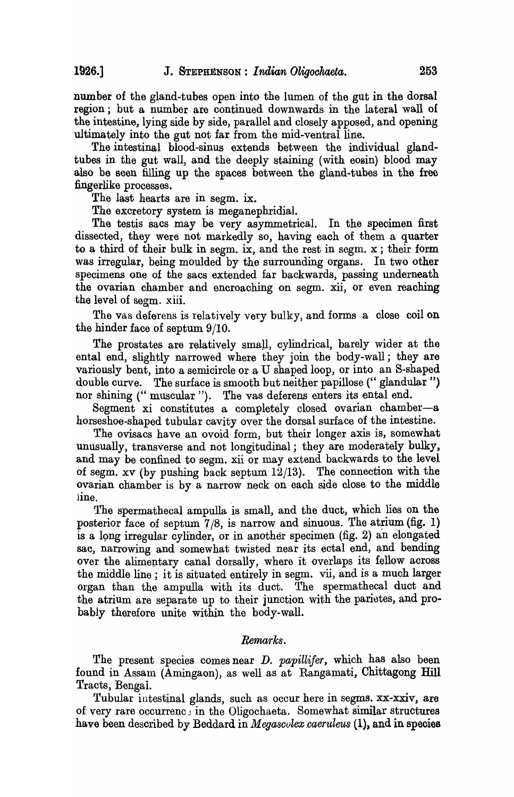number of the gland-tubes open- into the lumen of the gut in the dorsal region; but a number are continued downwards in the lateral wall of the intestine, lying side by side, parallel and closely apposed, and opening ultimately into the gut not far from the mid-ventral line.

The intestinal blood-sinus extends between the individual glandtubes in the gut wall, and the deeply staining (with eosin) blood may also be seen filling up the spaces between the gland-tubes in the free fingerlike processes.

The last hearts are in segm. ix.

The excretory system is meganephridial.

The testis sacs may be very asymmetrical. In the specimen first dissected, they were not markedly so, having each of them a quarter to a third of their bulk in segm. ix, and the rest in segm. x ; their form was irregular, being moulded by the surrounding organs. In two other specimens one of the sacs extended far backwards, passing underneath the ovarian chamber 'and encroaching on segm. xii, or even reaching the level of segm. xiii.

The vas deferens is relatively very bulky, and forms a close coil on the hinder face of septum 9/10.

The prostates are relatively small, cylindrical, barely wider at the ental end, slightly narrowed where they join the body-wall; they are variously bent, into a semicircle or a  $U$  shaped loop, or into an S-shaped double curve. The surface is smooth but neither papillose ("glandular") nor shining ("muscular"). The vas deferens enters its ental end.

Segment xi constitutes a completely closed ovarian chamber-a horseshoe-shaped tubular cavity over the dorsal surface of the intestine.

The ovisacs have an ovoid form, but their longer axis is, somewhat unusually, transverse and not longitudinal; they are moderately bulky, and may be confined to segm. xii or may extend backwards to the level of segm. xv (by pushing back septum 12/13). The connection with the ovarian chamber is by a narrow neck on each side close to the middle line.

The spermathecal ampulla is small, and the duct, which lies on the posterior face of septum  $7/8$ , is narrow and sinuous. The atrium (fig. 1) is a 19n9 irregular cylinder, or in another specimen (fig. 2) an elongated sac, narrowing and somewhat twisted near its ectal end, and bending over the alimentary canal dorsally, where it overlaps its fellow across the middle line; it is situated entirely in segm. vii, and is a much larger organ than the ampulla with its duct. The spermathecal duct and the atrium are separate up to their junction with the parietes, and probably therefore unite within the body-wall.

#### *Remarks.*

The present species comes near *D. papillifer,* which has also been found in Assam (Amingaon), as well as at Rangamati, Chittagong Hill Tracts, Bengal.

Tubular intestinal glands, such as occur here in segms. xx-xxiv, are of very rare occurrenc; in the Oligochaeta. Somewhat similar structures have been described by Beddard in *Megasoolex\_caeruleus* (1), and in species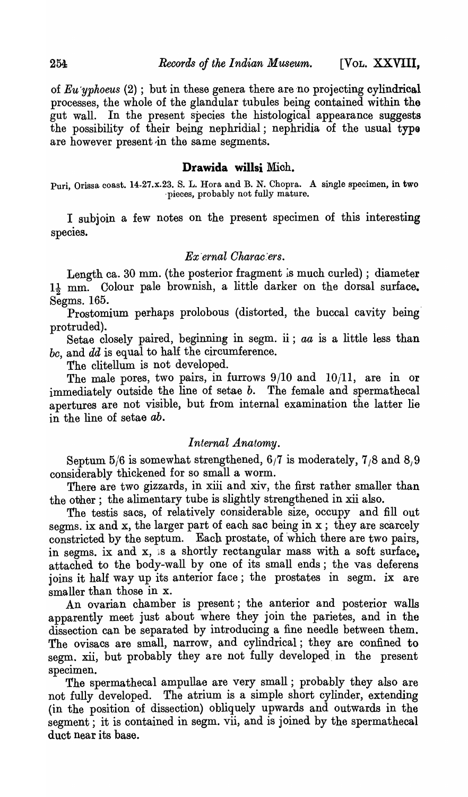of *Eu'yphoeus* (2) ; but in these genera there are 'no projecting cylindrical processes, the whole of the glandular tubules being contained within the gut wall. In the present species the histological appearance suggests the possibility of their being nephridial; nephridia of the usual typo are however present in the same segments.

### Drawida willsi Mich.

Puri, Orissa coast. 14-27.x.23. S. L. Hora and B. N. Chopra. A single specimen, in two 'pieces, probably not fully mature.

I subjoin a few notes on the present specimen of this interesting species.

## *Ex 'ernal Oharae:ers.*

Length ca. 30 mm. (the posterior fragment is much curled) ; diameter  $1\frac{1}{2}$  mm. Colour pale brownish, a little darker on the dorsal surface.  $Segms. 165.$ 

Prostomium perhaps prolobous (distorted, the buccal cavity being' protruded).

Setae closely paired, beginning in segm. ii; *aa* is a little less than *be,* and *dd* is equal to half the circumference.

The clitellum is not developed.

The male pores, two pairs, in furrows 9/10 and 10/11, are in or immediately outside the line of setae *b*. The female and spermathecal apertures are not visible, but from internal examination the latter lie in the line of setae ab.

## *Internal Anatomy.*

Septum 5/6 is somewhat strengthened,  $6/7$  is moderately,  $7/8$  and  $8/9$ considerably thickened for so small a worm.

There are two gizzards, in xiii and xiv, the first rather smaller than the other; the alimentary tube is slightly strengthened in xii also.

The testis sacs, of relatively considerable size, occupy and fill out segms. ix and x, the larger part of each sac being in x; they are scarcely constricted by the septum. Each prostate, of which there are two pairs, in segms. ix and  $x$ , is a shortly rectangular mass with a soft surface, attached to the body-wall by one of its small ends; the vas deferens joins it half way up its anterior face; the prostates in segm. ix are smaller than those in X.

An ovarian chamber is present; the anterior and posterior walls apparently meet just about where they join the parietes, and in the dissection can be separated by introducing a fine needle between them. The ovisacs are small, narrow, and cylindrical; they are confined to segm. xii, but probably they are not fully developed. in the present specimen.

The spermathecal ampullae are very small; probably they also are not fully developed. The atrium is a simple short cylinder, extending (in the position of dissection) obliquely upwards and outwards in the segment; it is contained in segm. vii, and is joined by the spermathecal duct near its base.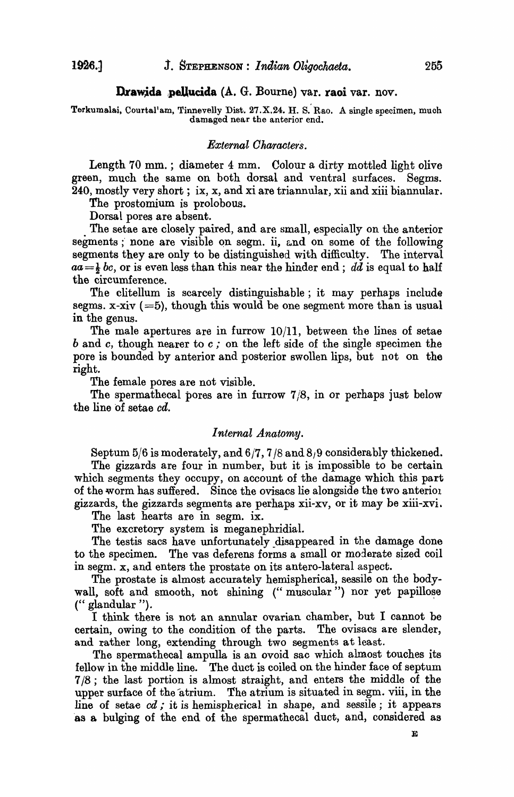#### Drawida pellucida (A. G. Bourne) var. raoi var. nov.

Terkumalai, Courtal'am, Tinnevelly Dist. 27.X.24. H. S. Rao. A single specimen, much damaged near the anterior end.

### *External Characters.*

Length 70 mm.; diameter 4 mm. Colour a dirty mottled light olive green, much the same on both dorsal and ventral surfaces. Segms. 240, mostly very short; ix, x, and xi are triannular, xii and xiii biannular.

The prostomium is prolobous.

Dorsal pores are absent.

The setae are closely paired, and are small, especially on the anterior segments ; none are visible on segm. ii, and on some of the following segments they are only to be distinguished with difficulty. The interval  $aa=\frac{1}{2}bc$ , or is even less than this near the hinder end; *dd* is equal to half the circumference.

The clitellum is scarcely distinguishable; it may perhaps include segms. x-xiv  $(=5)$ , though this would be one segment more than is usual in the genus.

The male apertures are in furrow  $10/11$ , between the lines of setae band *c,* though nearer to *c;* on the left side of the single specimen the pore is bounded by anterior and posterior swollen lips, but not on the right.

The female pores are not visible.

The spermathecal pores are in furrow 7/8, in or perhaps just below the line of setae cd.

### *Internal Anatomy.*

Septum  $5/6$  is moderately, and  $6/7$ ,  $7/8$  and  $8/9$  considerably thickened.

The gizzards are four in number, but it is impossible to be certain which segments they occupy, on account of the damage which this part of the worm has suffered. Since the ovisacs lie alongside the two anteriol gizzards, the gizzards segments are perhaps xii-xv, or it may be xiii-xvi.

The last hearts are in segm. ix.

The excretory system is meganephridial.

The testis sacs have unfortunately disappeared in the damage done to the specimen. The vas deferens forms a small or moderate sized coil in segm. x, and enters the prostate on its antero-lateral aspect.

The prostate is almost accurately hemispherical, sessile on the bodywall, soft and smooth, not shining ("muscular") nor yet papillose (" glandular ").

I think there is not an annular ovarian chamber, but I cannot be certain, owing to the condition of the parts. The ovisacs are slender, and rather long, extending through two segments at least.

The spermathecal ampulla is an ovoid sac which almost touches its fellow in the middle line. The duct is coiled on the hinder face of septum 7/8; the last portion is almost straight, and enters the middle of the upper surface of the atrium. The atrium is situated in segm. viii, in the line of setae *cd;* it is hemispherical in shape, and sessile; it appears 'as a bulging of the end of the spermathecal duct, and, considered as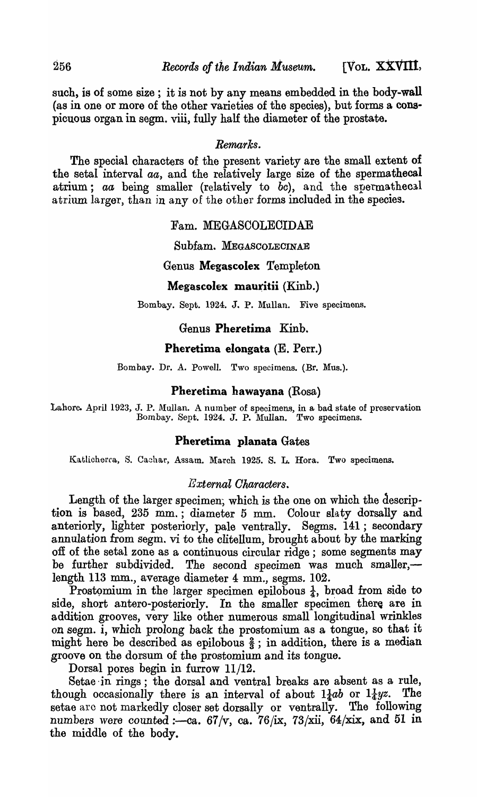such, is of some size; it is not by any means embedded in the body-wall (as in one or more of the other varieties of the species), but forms a conspicuous organ in segm. viii, fully half the diameter of the prostate.

# *Remarks.*

The special characters of the present variety are the small extent of the setal interval *aa*, and the relatively large size of the spermathecal atrium; *aa* being smaller (relatively to *bc*), and the spermathecal atrium larger, than in any of the other forms included in the species.

## Fam. MEGASCOLECIDAE

Subfam. MEGASCOLECINAE

# Genus Megascolex Templeton

### Megascolex mauritii (Kinb.)

Bombay. Sept. 1924. J. P. Mullan. Five specimens.

# Genus Pheretima Kinb.

# Pheretima elongata (E. Perr.)

Bombay. Dr. A. Powell. Two specimens. (Br. Mus.).

## Pheretima hawayana (Rosa)

Lahore. April 1923, J. P. Mullan. A number of specimens, in a bad state of preservation Bombay. Sept. 1924. J. P. Mullan. Two specimens.

### Pheretima planata Gates

Katlicherra, S. Cachar, Assam. March 1925. S. L. Hora. Two specimens.

## *External Oharacters.*

Length of the larger specimen; which is the one on which the description is based, 235 mm.; diameter 5 mm. Colour slaty dorsally and anteriorly, lighter posteriorly, pale ventrally. Segms. 141; secondary annulation from segm. vi to the clitellum, brought about by the marking off of the setal zone as a continuous circular ridge; some segments may be further subdivided. The second specimen was much smaller,length 113 mm., average diameter 4 mm., segms. 102.

Prostomium in the larger specimen epilobous  $\frac{1}{4}$ , broad from side to side, short antero-posteriorly. In the smaller specimen there are in addition grooves, very like other numerous small longitudinal wrinkles on segm. i, which prolong back the prostomium as a tongue, so that it might here be described as epilobous  $\frac{2}{3}$ ; in addition, there is a median groove on the dorsum of the prostomium and its tongue.

Dorsal pores begin in furrow 11/12.

Setae ·in rings; the dorsal and ventral breaks are absent as a rule, though occasionally there is an interval of about  $1\frac{1}{4}ab$  or  $1\frac{1}{4}yz$ . The setae arc not markedly closer set dorsally or ventrally. The following numbers were counted :--ca.  $67/v$ , ca.  $76/x$ ,  $73/xii$ ,  $64/xix$ , and 51 in the middle of the body.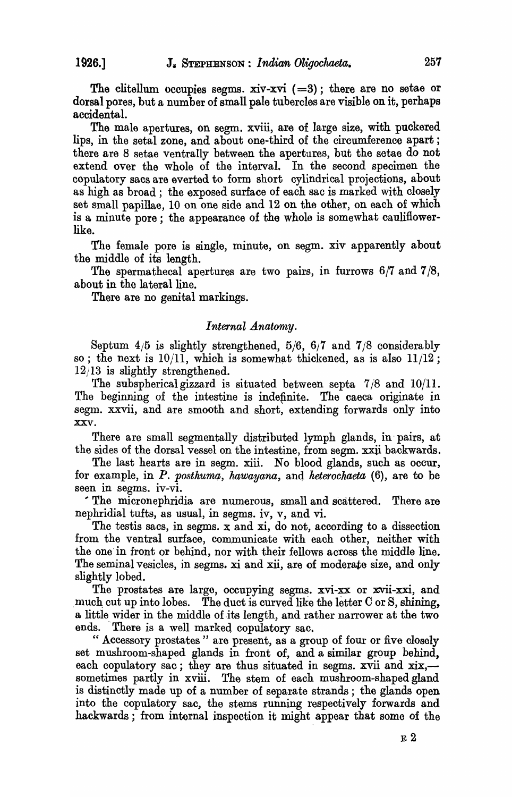The clitellum occupies segms. xiv-xvi  $(=3)$ ; there are no setae or dorsal pores, but a number of small pale tubercles are visible on it, perhaps accidental.

The male apertures, on segm. xviii, are of large size, with puckered lips, in the setal zone, and about one-third of the circumference apart; there are 8 setae ventrally between the apertures, but the setae do not extend over the whole of the interval. In the second specimen the copulatory sacs are everted to form short cylindrical projections, about as high as broad; the exposed surface of each sac is marked with closely set small papillae, 10 on one side and 12 on the other, on each of which is a minute pore; the appearance of the whole is somewhat cauliflowerlike.

The female pore is single, minute, on segm. xiv apparently about the middle of its length.

The spermathecal apertures are two pairs, in furrows 6/7 and 7/8, about in the lateral line.

There are no genital markings.

### *Internal Anatomy.*

Septum  $4/5$  is slightly strengthened,  $5/6$ ,  $6/7$  and  $7/8$  considerably so; the next is  $10/11$ , which is somewhat thickened, as is also  $11/12$ ; 12/13 is slightly strengthened.

The subspherical gizzard is situated between septa  $7/8$  and  $10/11$ . The beginning of the intestine is indefinite. The caeca originate in segm. xxvii, and are smooth and short, extending forwards only into xxv.

There are small segmentally distributed lymph glands, in' pairs, at the sides of the dorsal vessel on the intestine, from segm. xxii backwards.

The last hearts are in segm. xiii. No blood glands, such as occur, for example, in *P. posthuma, hawayana, and heterochaeta* (6), are to be seen in segms. iv-vi.

, The micronephridia are numerous, small and scattered. There are nephridial tufts, as usual, in segms. iv, v, and vi.

The testis sacs, in segms. x and xi, do not, according to a dissection from the ventral surface, communicate with each other, neither with the one' in front or behind, nor with their fellows across the middle line. The seminal vesicles, in segms. xi and xii, are of moderate size, and only slightly lobed.

The prostates are large, occupying segms. xvi-xx or xvii-xxi, and much cut up into lobes. The duct is curved like the letter  $C$  or  $S$ , shining, a little wider in the middle of its length, and rather narrower at the two ends. There is a well marked copulatory sac.

" Accessory prostates" are present, as a group of four or five closely set mushroom-shaped glands in front of, and a similar group behind, each copulatory sac; they are thus situated in segms. xvii and  $x_i$ . sometimes partly in xviii. The stem of each mushroom-shaped gland is distinctly made up of a number of separate strands; the glands open into the copulatory sac, the stems running respectively forwards and hackwards; from internal inspection it might appear that some of the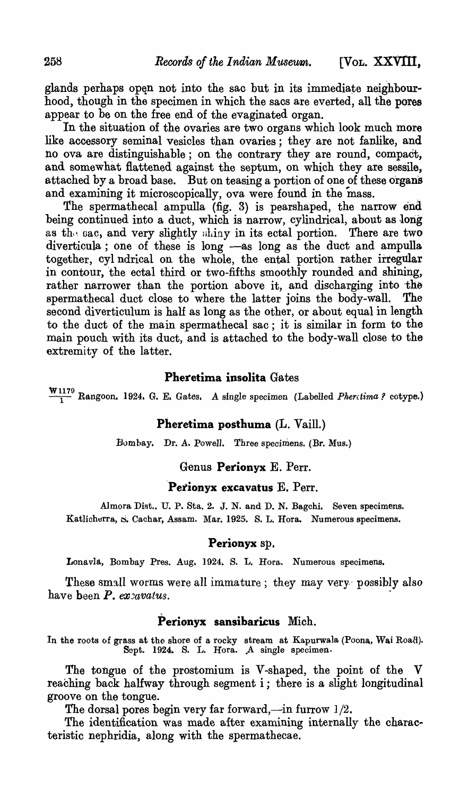glands perhaps open not into the sac but in its immediate neighbourhood, though in the specimen in which the sacs are everted, all the pores appear to be on the free end of the evaginated organ.

In the situation of the ovaries are two organs which look much more like accessory seminal vesicles than ovaries; they are not fanlike, and no ova are distinguishable; on the contrary they are round, compact, and somewhat flattened against the septum, on which they are sessile, attached by a broad base. But on teasing a portion of one of these organs and examining it microscopically, ova were found in the mass.

The spermathecal ampulla (fig. 3) is pearshaped, the narrow end being continued into a duct, which is narrow, cylindrical, about as long as the sac, and very slightly shiny in its ectal portion. There are two diverticula; one of these is long -as long as the duct and ampulla together, cyl ndrical on the whole, the ental portion rather irregular in contour, the ectal third or two-fifths smoothly rounded and shining, rather narrower than the portion above it, and discharging into the spermathecal duct close to where the latter ioins the body-wall. The spermathecal duct close to where the latter joins the body-wall. second diverticulum is half as long as the other, or about equal in length to the duct of the main spermathecal sac; it is similar in form to the main pouch with its duct, and is attached to the body-wall close to the extremity of the latter.

## Pheretima insolita Gates

 $\frac{\mathbf{W}1179}{1}$  Rangoon. 1924. G. E. Gates. A single specimen (Labelled *Pherctima?* cotype.)

# Pheretima posthuma (L. Vaill.)

}Jombay. Dr. A. Powell. Three specimens. (Br. Mus.)

### Genus Perionyx E. Perr.

### Perionyx excavatus  $E$ . Perr.

Almora Dist.. U. P. Sta. 2. J. N. and D. N. Bagchi. Seven specimens. Katlicherra, S. Cachar, Assam. Mar. 1925. S. L. Hora. Numerous specimens.

### Perionyx sp.

Lonavla, Bombay Pres. Aug. 1924. S. L. Hora. Numerous specimens.

These small worms were all immature; they may very possibly also have been  $P$ . ex $z$ avatus.

# Perionyx sansibaricus Mich.

In the roots of grass at the shore of a rocky stream at Kapurwala (Poona, Wai Road). Sept. 1924. S. L. Hora. A single specimen.

The tongue of the prostomium is V-shaped, the point of the V reaching back halfway through segment  $i$ ; there is a slight longitudinal groove on the tongue.

The dorsal pores begin very far forward,—in furrow  $1/2$ .

The identification was made after examining internally the characteristic nephridia, along with the spermathecae.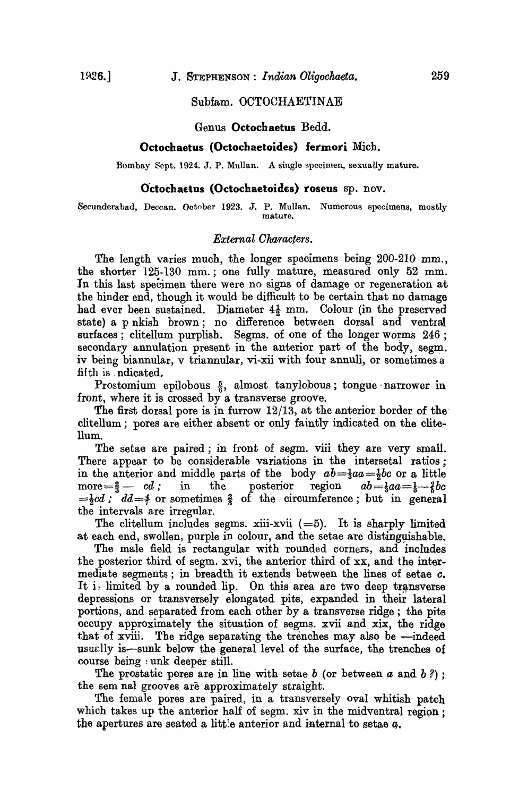#### Subfam. OCTOCHAETINAE

Genus **Octochaetus** Bedd.

#### **Octochaetus (Octochaetoides) fermori** Mich.

Bombay Sept. 1924. J. P. Mullan. A single specimen, sexually mature.

#### **Octochaetus (Octochaetoides) roseus** sp. nov.

Secunderabad, Deccan. October 1923. J. P. Mullan. Numerous specimens, mostly mature.

### $External$ Characters.

The length varies much, the longer specimens being 200-210 mm., the shorter 125-130 mm.; one fully mature, measured only 52 mm. In this last specimen there were no signs of damage or regeneration at the hinder end, though it would be difficult to be certain that no damage had ever been sustained. Diameter  $4\frac{1}{2}$  mm. Colour (in the preserved state) a p nkish brown; no difference between dorsal and ventral surfaces; clitellum purplish. Segms. of one of the longer worms 246; secondary annulation present in the anterior part of the body, segm. iv being biannular, v triannular, vi-xii with four annuli, or sometimes a fifth is . ndicated.

Prostomium epilobous  $\frac{5}{6}$ , almost tanylobous; tongue narrower in front, where it is crossed by a transverse groove.

The first dorsal pore is in furrow  $12/13$ , at the anterior border of the clitellum; pores are either absent or only faintly indicated on the clite-Uum.

The setae are paired; in front of segm. viii they are very small. There appear to be considerable variations in the intersetal ratios; in the anterior and middle parts of the body  $ab = \frac{1}{3}aa = \frac{1}{2}bc$  or a little more  $=\frac{2}{3}$  as  $cd$ ; in the posterior region  $ab = \frac{1}{3}aa = \frac{1}{3}$  be more  $=\frac{2}{3}$  *cd*; in the posterior region  $ab=\frac{1}{3}aa=\frac{1}{3}$  *cd*  $=\frac{1}{2}cd$ ;  $dd=\frac{4}{7}$  or sometimes  $\frac{2}{3}$  of the circumference; but in general the intervals are irregular.

The clitellum includes segms. xiii-xvii  $(=5)$ . It is sharply limited at each end, swollen, purple in colour, and the setae are distingyishable.

The male field is rectangular with rounded corners, and includes the posterior third of segm. xvi, the anterior third of xx, and the intermediate segments; in breadth it extends between the lines of setae *c.*  It is limited by a rounded lip. On this area are two deep transverse depressions or transversely elongated pits, expanded in their lateral portions) and separated from each other by a transverse ridge; the pits occupy approximately the situation of segms. xvii and xix, the ridge that of xviii. The ridge separating the trenches may also be  $-$ indeed usually is-sunk below the general level of the surface, the trenches of course being : unk deeper still.

The prostatic peres are in line with setae  $b$  (or between  $a$  and  $b$ ?); the sem nal grooves are approximately straight.

The female pores are paired, in a transversely oval whitish patch which takes up the anterior half of segm. xiv in the midventral region; the apertures are seated a little anterior and internal-to set a.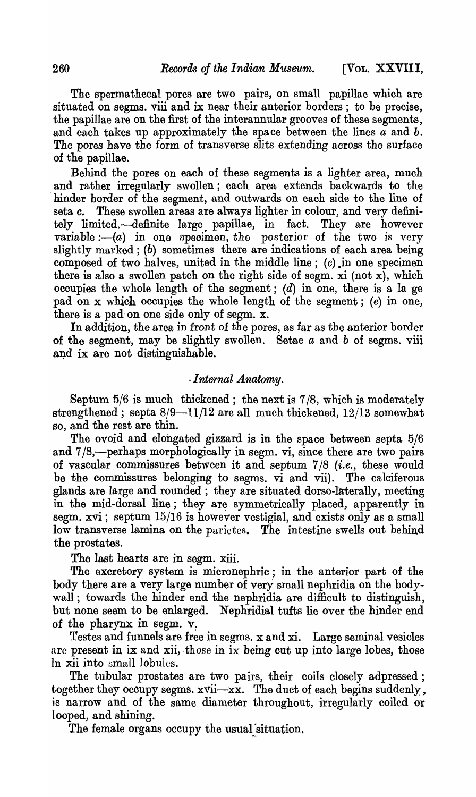The spermathecal pores are two pairs, on small papillae which are situated on segms. viii and ix near their anterior borders; to be precise, the papillae are on the first of the interannular grooves of these segments, and each takes up approximately the space between the lines *a* and *b.*  The pores have the form of transverse slits extending across the surface of the papillae.

Behind the pores on each of these segments is a lighter area, much and rather irregularly swollen; each area extends backwards to the hinder border of the segment, and outwards on each side to the line of seta *c.* These swollen areas are always lighter in colour, and very definitely limited,-definite large papillae, in fact. They are however variable :-  $(a)$  in one specimen, the posterior of the two is very slightly marked; (b) sometimes there are indications of each area being composed of two halves, united in the middle line;  $(c)$ , in one specimen there is also a swollen patch on the right side of segm.  $xi$  (not  $x$ ), which occupies the whole length of the segment;  $(d)$  in one, there is a large pad on x which occupies the whole length of the segment; (e) in one, there is a pad on one side only of segm.  $x$ .

In addition, the area in front of the pores, as far as the anterior border of the segment, may be slightly swollen. Setae *a* and *b* of segms. viii and ix are not distinguishable.

# *. Internal.Anatomy.*

Septum 5/6 is much thickened; the next is 7/8, which is moderately strengthened; septa  $8/9-11/12$  are all much thickened,  $12/13$  somewhat so, and the rest are thin.

The ovoid and elongated gizzard is in the space between septa 5/6 and  $7/8$ ,-perhaps morphologically in segm. vi, since there are two pairs of vascular commissures between it and septum 7/8 *(i.e.,* these would be the commissures belonging to segms. vi and vii). The calciferous glands are large and rounded; they are situated dorso-Iaterally, meeting in the mid-dorsal line; they are symmetrically placed, apparently in segm.  $xvi$ ; septum  $15/16$  is however vestigial, and exists only as a small low transverse lamina on the parietes. The intestine swells out behind the prostates.

The last hearts are in segm. xiii.

The excretory system is micronephric; in the anterior part of the body there are a very large number of very small nephridia on the bodywall; towards the hinder end the nephridia are difficult to distinguish, but none seem to be enlarged. Nephridial tufts lie over the hinder end of the pharynx in segm.  $v$ .

Testes and funnels are free in segms. x and xi. Large seminal vesicles are present in ix and xii, those in ix being cut up into large lobes, those In xii into small lobules.

The tubular prostates are two pairs, their coils closely adpressed; together they occupy segms.  $x\overline{v}$  The duct of each begins suddenly, is narrow and of the same diameter throughout, irregularly coiled or looped, and shining.

The female organs occupy the usual situation.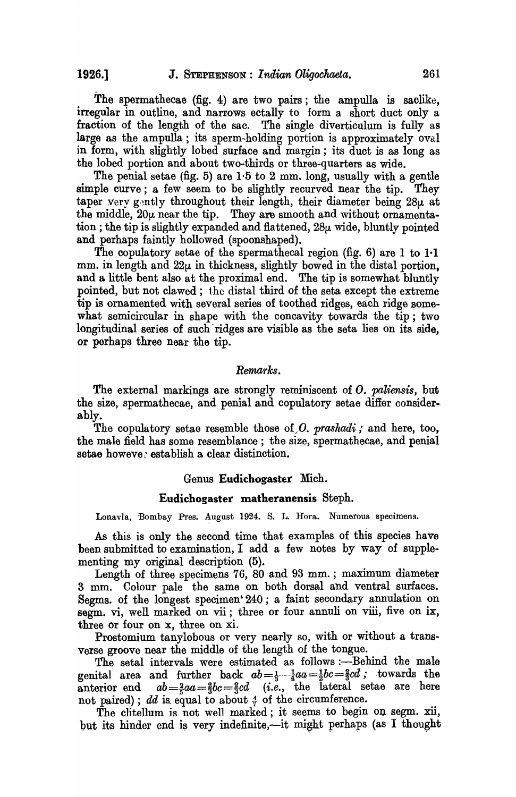The spermathecae (fig. 4) are two pairs; the ampulla is saclike, irregular in outline, and narrows ectally to form a short duct only a fraction of the length of the sac. The single diverticulum is fully as large as the ampulla; its sperm-holding portion is approximately oval in form, with slightly lobed surface and margin; its duct is as long as the lobed portion and about two-thirds or three-quarters as wide.

The penial setae (fig. 5) are  $1.5$  to  $2 \text{ mm}$ . long, usually with a gentle simple curve; a few seem to be slightly recurved near the tip. They taper very gently throughout their length, their diameter being  $28\mu$  at the middle,  $20\mu$  near the tip. They are smooth and without ornamentation; the tip is slightly expanded and flattened, 28µ wide, bluntly pointed and perhaps faintly hollowed (spoonshaped).

The copulatory setae of the spermathecal region (fig. 6) are 1 to 1.1 mm. in length and  $22\mu$  in thickness, slightly bowed in the distal portion, and a little bent also at the proximal end. The tip is somewhat bluntly pointed, but not clawed; the distal third of the seta except the extreme tip is ornamented with several series of toothed ridges, each ridge somewhat semicircular in shape with the concavity towards the tip; two longitudinal series of such ridges are visible as the seta lies on its side, or perhaps three near the tip.

#### *Remarks.*

The external markings are strongly reminiscent of *O. paliensis,* but the size, spermathecae, and penial and copulatory setae differ considerably.

The copulatory setae resemble those of,O. *prashadi;* and here, too, the male field has some resemblance; the size, spermathecae, and penial setae howeve: establish a clear distinction.

#### Genus Eudichogaster Mich.

### Eudichogaster matheranensis Steph.

Lonavla, Bombay Pres. August 1924. S. L. Hora. Numerous specimens.

As this is only the second time that examples of this species have been submitted to examination, I add a few notes by way of supplementing my original description (5).

Length of three specimens 76, 80 and 93 mm. ; maximum diameter 3 mm. Colour pale the same on both dorsal and ventral surfaces. Segms. of the longest specimen 240; a faint secondary annulation on segm. vi, well marked on vii; three or four annuli on viii, five on ix, three or four on x, three on xi.

Prostomium tanylobous or very nearly so, with or without a transverse groove near the middle of the length of the tongue.

The setal intervals were estimated as follows :- Behind the male genital area and further back  $ab = \frac{1}{3} - \frac{1}{4}aa = \frac{1}{2}bc = \frac{2}{3}cd$ ; towards the anterior end  $ab=\frac{2}{5}aa=\frac{2}{3}bc=\frac{2}{3}cd$  (*i.e.*, the lateral setae are here not paired); *dd* is equal to about  $\frac{4}{7}$  of the circumference.

The clitellum is not well marked; it seems to begin on segm. xii, but its hinder end is very indefinite,-it might perhaps (as I thought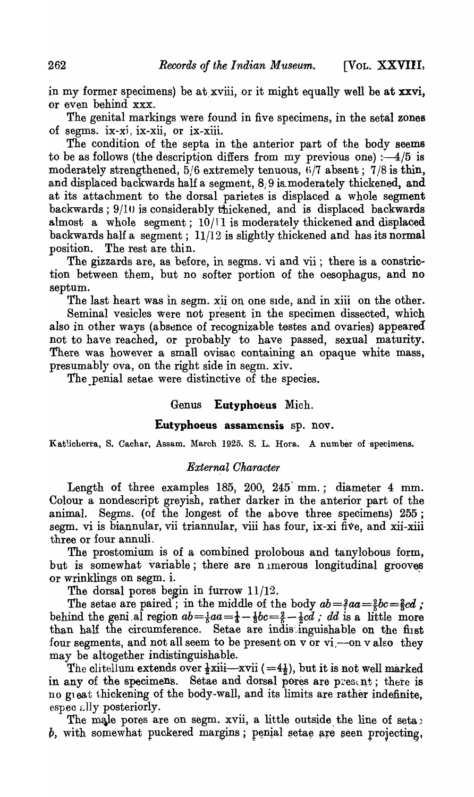in my former specimens) be at xviii, or it might equally well be at xxvi, or even behind xxx.

The genital markings were found in five specimens, in the setal zones of segms. ix-xj: ix-xii, or ix-xiii.

The condition of the septa in the anterior part of the body seems to be as follows (the description differs from my previous one) : $-4/5$  is moderately strengthened,  $5/6$  extremely tenuous,  $6/7$  absent;  $7/8$  is thin, and displaced backwards half a segment,  $8/9$  is moderately thickened, and at its attachment to the dorsal parietes is displaced a whole segment backwards; 9/10 is considerably thickened, and is displaced backwards almost a whole segment;  $10/11$  is moderately thickened and displaced backwards half a segment; 11/12 is slightly thickened and has its normal position. The rest are thin.

The gizzards are, as before, in segms. vi and vii; there is a constriction between them, but no softer portion of the oesophagus, and no septum.

The last heart was in segm. xii on one side, and in xiii on the other.

Seminal vesicles were not present in the specimen dissected, which also in other ways (absence of recognizable testes and ovaries) appeared not to have reached, or probably to have passed, sexual maturity. There was however a small ovisac containing an opaque white mass, presumably ova, on the right side in segm. xiv.

The penial setae were distinctive of the species.

# Genus Eutyphoeus Mich.

# Eutyphoeus assamensis sp. nov.

Katlicherra, S. Cachar, Assam. March 1925. S. L. Hora. A number of specimens.

### *External Oharacter*

Length of three examples 185, 200, 245 mm.; diameter 4 mm. Colour a nondescript greyish, rather darker in the anterior part of the animal. Segms. (of the longest of the above three specimens) 255; segm. vi is biannular, vii triannular, viii has four, ix-xi five, and xii-xiii three or four annuli.

The prostomium is of a combined prolobous and tanylobous form, but is somewhat variable; there are nimerous longitudinal grooves or wrinklings on segm. i.

The dorsal pores begin in furrow  $11/12$ .

The setae are paired"; in the middle of the body  $ab = \frac{2}{5}aa = \frac{2}{5}bc = \frac{2}{5}cd$ ; behind the geni al region  $ab = \frac{1}{5}aa = \frac{1}{4} - \frac{1}{5}bc = \frac{2}{5} - \frac{1}{2}cd$ ; *dd* is a little more than half the circumference. Setae are indistinguishable on the first four segments, and not all seem to be present on  $v$  or  $vi$  --on  $v$  also they may be altogether indistinguishable.

The clitellum extends over  $\frac{1}{2}$ xiii—xvii (=4 $\frac{1}{2}$ ), but it is not well marked in any of the specimens. Setae and dorsal pores are present; there is no great thickening of the body-wall, and its limits are rather indefinite, espec ally posteriorly.

The male pores are on segm. xvii, a little outside the line of seta *b*, with somewhat puckered margins; penial setae are seen projecting,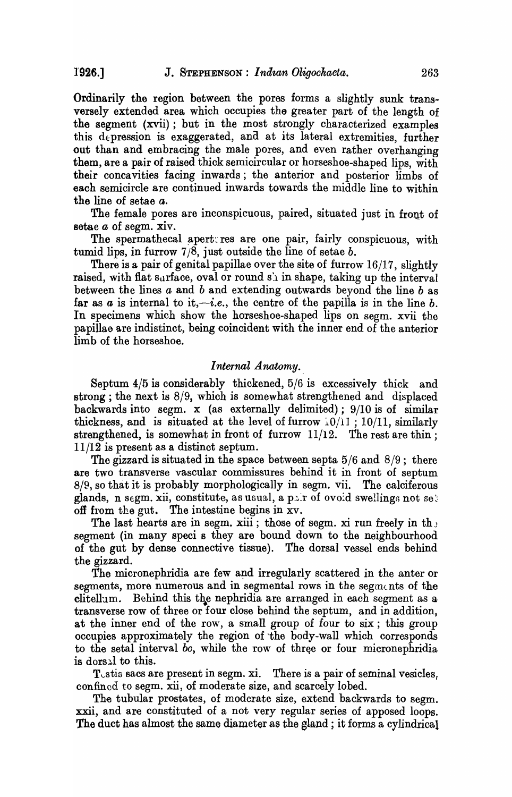Ordinarily the region between the pores forms a slightly sunk transversely extended area which occupies the greater part of the length of the segment (xvii); but in the most strongly characterized examples this depression is exaggerated, and at its lateral extremities, further out than and embracing the male pores, and even rather overhanging them, are a pair of raised thick semicircular or horseshoe-shaped lips, with their concavities facing inwards; the anterior and posterior limbs of each semicircle are continued inwards towards the middle line to within the line of setae *a.* 

The female pores are inconspicuous, paired, situated just in front of setae *a* of segm. xiv.

The spermathecal apert res are one pair, fairly conspicuous, with tumid lips, in furrow 7/8, just outside the line of setae *b.* 

There is a pair of genital papillae over the site of furrow 16/17, slightly raised, with flat surface, oval or round  $s<sub>\lambda</sub>$  in shape, taking up the interval between the lines *a* and *b* and extending outwards beyond the line *b* as far as  $a$  is internal to it,-i.e., the centre of the papilla is in the line  $b$ . In specimens which show the horseshoe-shaped lips on segm. xvii the papillae are indistinct, being coincident with the inner end of the anterior limb of the horseshoe.

#### *Internal Anatomy.*

Septum 4/5 is considerably thickened, 5/6 is excessively thick and strong; the next is 8/9, which is somewhat strengthened and displaced backwards into segm. x (as externally delimited); 9/10 is of similar thickness, and is situated at the level of furrow  $10/11$ ;  $10/11$ , similarly strengthened, is somewhat in front of furrow  $11/12$ . The rest are thin; 11/12 is present as a distinct septum.

The gizzard is situated in the space between septa  $5/6$  and  $8/9$ ; there are two transverse vascular commissures behind it in front of septum 8/9, so that it is probably morphologically in segm. vii. The calciferous glands, n segm. xii, constitute, as usual, a pair of ovoid swellings not set off from the gut. The intestine begins in xv.

The last hearts are in segm. xiii; those of segm. xi run freely in th $_3$ segment (in many speci s they are bound down to the neighbourhood of the gut by dense connective tissue). The dorsal vessel ends behind the gizzard.

The micronephridia are few and irregularly scattered in the anter or segments, more numerous and in segmental rows in the segments of the clitellam. Behind this the nephridia are arranged in each segment as a transverse row of three or four close behind the septum, and in addition, at the inner end of the row, a small group of four to six; this group occupies approximately the region of the body-wall which corresponds to the setal interval *bc*, while the row of three or four micronephridia is dorsal to this.

T<sub>v</sub>stis sacs are present in segm. xi. There is a pair of seminal vesicles. confined to segm. xii, of moderate size, and scarcely lobed.

The tubular prostates, of moderate size, extend backwards to segm. xxii, and are constituted of a not very regular series of apposed loops. The duct has almost the same diameter as the gland ; it forms a cylindrical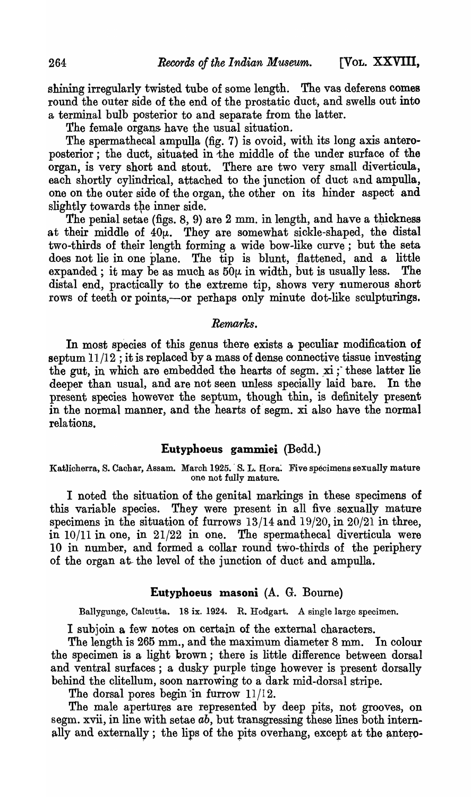shining irregularly twisted tube of some length. The vas deferens comes round the outer side of the end of the prostatic duct, and swells out into a terminal bulb posterior to and separate from the latter.

The female organs have the usual situation.

The spermathecal ampulla (fig. 7) is ovoid, with its long axis anteroposterior; the duct, situated in the middle of the under surface of the organ, is very short and stout. There are two very small diverticula, each shortly cylindrical, attached to the junction of duct and ampulla, one on the outer side of the organ, the other on its hinder aspect and slightly towards the inner side.

The penial setae (figs.  $8, 9$ ) are  $2 \text{ mm}$ , in length, and have a thickness at their middle of  $40\mu$ . They are somewhat sickle-shaped, the distal two-thirds of their length forming a wide bow-like curve; but the seta does not lie in one plane. The tip is blunt, flattened, and a little expanded; it may be as much as  $50\mu$  in width, but is usually less. The distal end, practically to the extreme tip, shows very numerous short rows of teeth or points,-or perhaps only minute dot-like sculpturings.

# *Remarks.*

In most species of this genus there exists a, peculiar modification of septum  $11/12$ ; it is replaced by a mass of dense connective tissue investing the gut, in which are embedded the hearts of segm.  $xi$ ; these latter lie deeper than usual, and are not seen unless specially laid bare. In the present species however the septum., though thin, is definitely present in the normal manner, and the hearts of segm. xi also have the normal relations.

# Eutyphoeus gammiei (Bedd.)

Katlicherra, S. Cachar, Assam. March 1925. S. L. Hora. Five specimens sexually mature one not fully mature.

I noted the situation of the genital markings in these specimens of this variable species. They were present in all five sexually mature specimens in the situation of furrows 13/14 and 19/20, in 20/21 in three, in 10/11 in one, in 21/22 in one. The spermathecal diverticula were 10 in number, and formed a collar round two-thirds of the periphery of the organ at-the level of the junction of duct and ampulla.

# Eutyphoeus masoni (A. G. Bourne)

Ballygunge, Calcutta. 18 ix. 1924. R. Hodgart. A single large specimen.

I subjoin a few notes on certain of the external characters.

The length is 265 mm., and the maximum diameter 8 mm. In colour the specimen is a light brown; there is little difference between dorsal and ventral surfaces; a dusky purple tinge however is present dorsally behind the clitellum, soon narrowing to a dark mid-dorsal stripe.

The dorsal pores begin in furrow  $11/12$ .

The male apertures are represented by deep pits, not grooves, on segm. xvii, in line with setae *ab,* but transgressing these lines both internally and externally; the lips of the pits overhang, except at the antero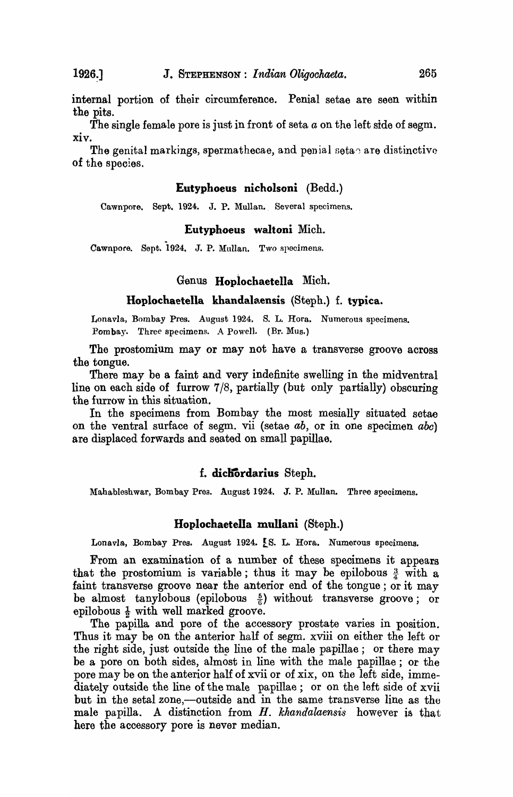internal portion of their circumference. Penial setae are seen within the pits.

The single female pore is just in front of seta *a* on the left side of segm. xiv.

The genital markings, spermathecae, and penial seta $\gamma$  are distinctive of the species.

### Eutyphoeus nicholsoni (Bedd.)

Cawnpore. Sept. 1924. J. P. Mullan. Several specimens.

# Eutyphoeus waItoni Mich.

Cawnpore. Sept. 1924. J. P. Mullan. Two specimens.

### Genus Hopiochaetella Mich.

#### Hoplochaetella khandalaensis (Steph.) f. typica.

Lonavla, Bombay Pres. August 1924. S. L. Hora. Numerous specimens. Pombay. Three specimens. A Powell. (Er. Mus.)

The prostomium may or may not have a transverse groove across the tongue.

There may be a faint and very indefinite swelling in the midventral line on each side of furrow 7/8, partially (but only partially) obscuring the furrow in this situation.

In the specimens from Bombay the most mesially situated setae on the ventral surface of segm. vii (setae *ab,* or in one specimen *abc)*  are displaced forwards and seated on small papillae.

#### f. dicliOrdarius Steph.

Mahableshwar, Bombay Pres. August 1924. J. P. Mullan. Three specimens.

### Hoplochaetella mullani (Steph.)

Lonavla, Bombay Pres. August 1924. [S. L. Hora. Numerous specimens.

From an examination of a number of these specimens it appears that the prostomium is variable; thus it may be epilobous  $\frac{3}{4}$  with a faint transverse groove near the anterior end of the tongue; or it may be almost tanylobous (epilobous  $\frac{5}{6}$ ) without transverse groove; or epilobous  $\frac{1}{2}$  with well marked groove.

The papilla and pore of the accessory prostate varies in position. Thus it may be on the anterior half of segm. xviii on either the left or the right side, just outside the line of the male papillae; or there may be a pore on both sides, almost in line with the male papillae; or the pore may be on the anterior half of xvii or of xix, on the left side, immediately outside the line of the male papillae; or on the left side of xvii but in the setal zone,-outside and in the same transverse line as the male papilla. A distinction from *H. khandalaensis* however is that here the accessory pore is never median.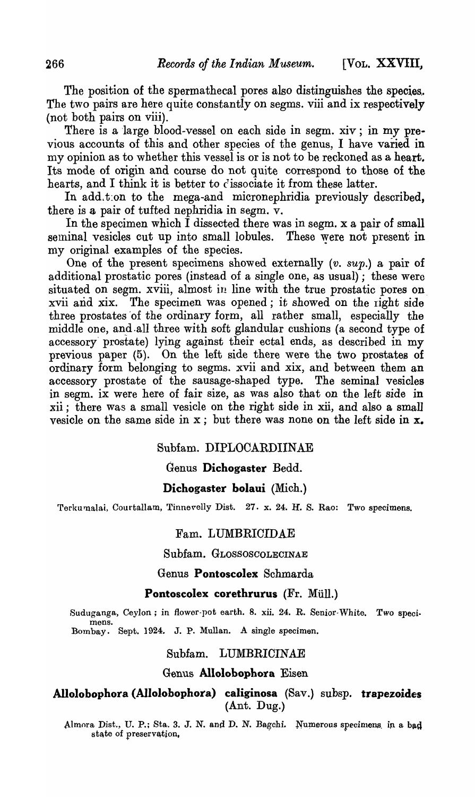The position of the spermathecal pores also distinguishes the species. The two pairs are here quite constantly on segms. viii and ix respectively (not both pairs on viii).

There is a large blood-vessel on each side in segm. xiv; in my previous accounts of this and other species of the genus, I have varied in my opinion as to whether this vessel is or is not to be reckoned as a heart. Its mode ot origin and course do not quite correspond to those of the hearts, and I think it is better to c'issociate it from these latter.

In add. t:on to the mega-and micronephridia previously described, there is a pair of tufted nephridia in segm. v.

In the specimen which I dissected there was in segm. x a pair of small seminal vesicles cut up into small lobules. These were not present in my original examples of the species.

One of the present specimens showed externally *(v. sup.)* a pair of additional prostatic pores (instead of a single one, as usual); these were situated on segm. xviii, almost in line with the true prostatic pores on xvii and xix. The specimen was opened; it showed on the right side three prostates of the ordinary form, all rather small, especially the middle one, and all three with soft glandular cushions (a second type of accessory' prostate) lying against their ectal ends, as described in my previous paper (5). On the left side there were the two prostates of ordinary form belonging to segms. xvii and xix, and between them an accessory prostate of the sausage-shaped type. The seminal vesicles in segm. ix were here of fair size, as was also that on the left side in xii; there was a small vesicle on the right side in xii, and also a small vesicle on the same side in  $x$ ; but there was none on the left side in  $x$ .

# Subfam. DIPLOCARDIINAE

# Genus Dichogaster Bedd.

# Dichogaster bolaui (Mich.)

Terkumalai, Courtallam, Tinnevelly Dist. 27. x. 24. H. S. Rao: Two specimens.

#### Fam. LUMBRICIDAE

Subfam. GLOSSOSCOLECINAE

# Genus Pontoscolex Schmarda

#### Pontoscolex corethrurus (Fr. Müll.)

Suduganga, Ceylon; in flower-pot earth. 8. xii. 24. R. Senior-White. Two specimens. Bombay. Sept. 1924. J. P. Mullan. A single specimen.

#### Subfam. LUMBRICINAE

#### Genus Allolobophora Eisen

Allolobophora (Allolobophora) caliginosa (Sav.) subsp. trapezoides (Ant. Dug.)

Almora Dist., U. P.; Sta. 3. J. N. and D. N. Bagchi. Numerous specimens in a bad state of preservation.